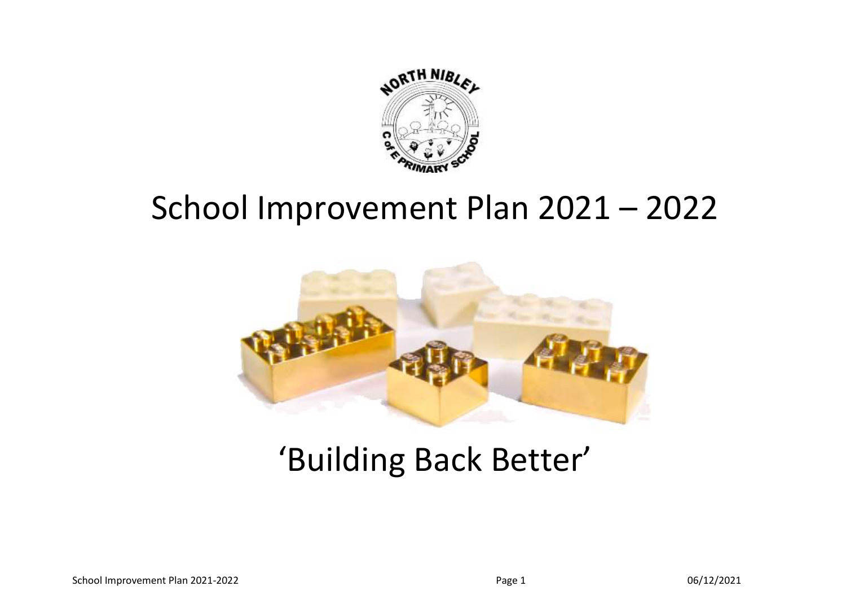

## School Improvement Plan 2021 – 2022



# 'Building Back Better'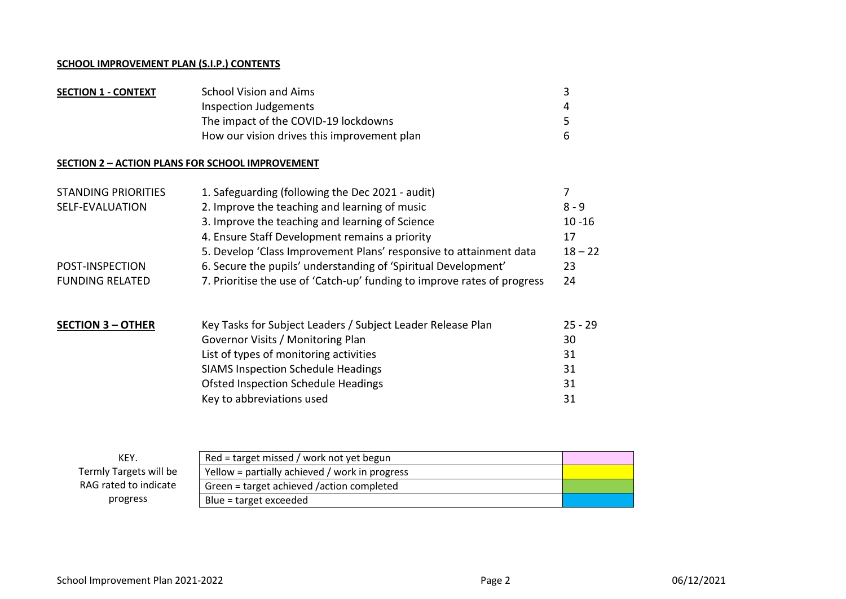#### **SCHOOL IMPROVEMENT PLAN (S.I.P.) CONTENTS**

| <b>SECTION 1 - CONTEXT</b> | School Vision and Aims                      |   |
|----------------------------|---------------------------------------------|---|
|                            | Inspection Judgements                       | 4 |
|                            | The impact of the COVID-19 lockdowns        |   |
|                            | How our vision drives this improvement plan |   |

#### **SECTION 2 – ACTION PLANS FOR SCHOOL IMPROVEMENT**

| <b>STANDING PRIORITIES</b> | 1. Safeguarding (following the Dec 2021 - audit)                         |           |  |
|----------------------------|--------------------------------------------------------------------------|-----------|--|
| SELF-EVALUATION            | 2. Improve the teaching and learning of music                            | $8 - 9$   |  |
|                            | 3. Improve the teaching and learning of Science                          | $10 - 16$ |  |
|                            | 4. Ensure Staff Development remains a priority                           | 17        |  |
|                            | 5. Develop 'Class Improvement Plans' responsive to attainment data       | $18 - 22$ |  |
| POST-INSPECTION            | 6. Secure the pupils' understanding of 'Spiritual Development'           | 23        |  |
| <b>FUNDING RELATED</b>     | 7. Prioritise the use of 'Catch-up' funding to improve rates of progress | 24        |  |
| <b>SECTION 3 - OTHER</b>   | Key Tasks for Subject Leaders / Subject Leader Release Plan              | $25 - 29$ |  |
|                            |                                                                          |           |  |

| Governor Visits / Monitoring Plan         | 30 |
|-------------------------------------------|----|
| List of types of monitoring activities    | 31 |
| <b>SIAMS Inspection Schedule Headings</b> | 31 |
| Ofsted Inspection Schedule Headings       | 31 |
| Key to abbreviations used                 | 31 |

| KEY.                                                                     | Red = target missed / work not yet begun  |  |  |
|--------------------------------------------------------------------------|-------------------------------------------|--|--|
| Termly Targets will be<br>Yellow = partially achieved / work in progress |                                           |  |  |
| RAG rated to indicate                                                    | Green = target achieved /action completed |  |  |
| progress                                                                 | Blue = target exceeded                    |  |  |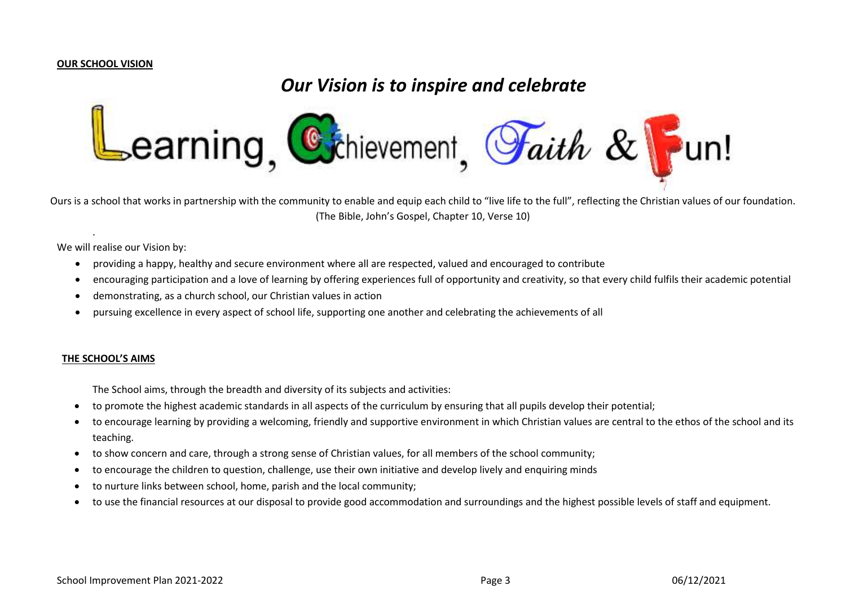#### **OUR SCHOOL VISION**

## *Our Vision is to inspire and celebrate*



Ours is a school that works in partnership with the community to enable and equip each child to "live life to the full", reflecting the Christian values of our foundation. (The Bible, John's Gospel, Chapter 10, Verse 10)

We will realise our Vision by:

.

- providing a happy, healthy and secure environment where all are respected, valued and encouraged to contribute
- encouraging participation and a love of learning by offering experiences full of opportunity and creativity, so that every child fulfils their academic potential
- demonstrating, as a church school, our Christian values in action
- pursuing excellence in every aspect of school life, supporting one another and celebrating the achievements of all

#### **THE SCHOOL'S AIMS**

The School aims, through the breadth and diversity of its subjects and activities:

- to promote the highest academic standards in all aspects of the curriculum by ensuring that all pupils develop their potential;
- to encourage learning by providing a welcoming, friendly and supportive environment in which Christian values are central to the ethos of the school and its teaching.
- to show concern and care, through a strong sense of Christian values, for all members of the school community;
- to encourage the children to question, challenge, use their own initiative and develop lively and enquiring minds
- to nurture links between school, home, parish and the local community;
- to use the financial resources at our disposal to provide good accommodation and surroundings and the highest possible levels of staff and equipment.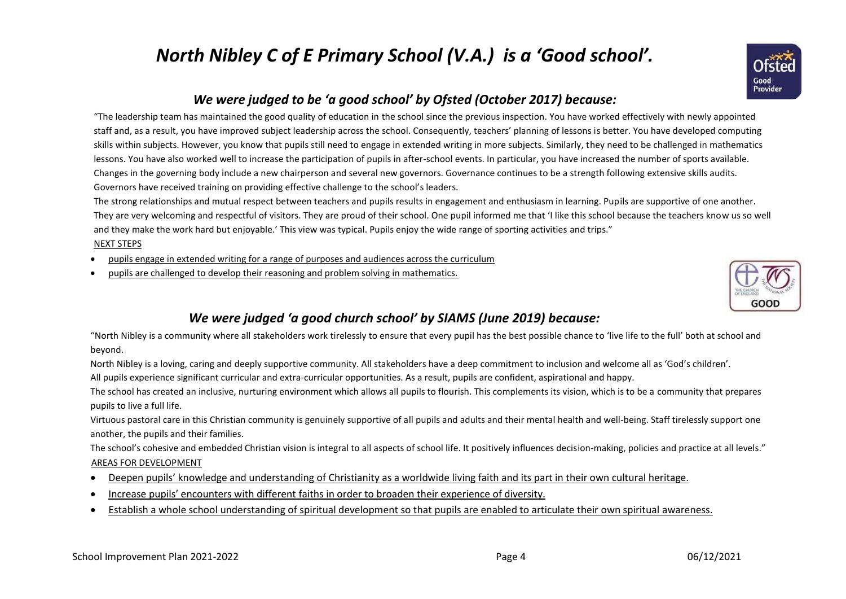## *North Nibley C of E Primary School (V.A.) is a 'Good school'.*



## *We were judged to be 'a good school' by Ofsted (October 2017) because:*

"The leadership team has maintained the good quality of education in the school since the previous inspection. You have worked effectively with newly appointed staff and, as a result, you have improved subject leadership across the school. Consequently, teachers' planning of lessons is better. You have developed computing skills within subjects. However, you know that pupils still need to engage in extended writing in more subjects. Similarly, they need to be challenged in mathematics lessons. You have also worked well to increase the participation of pupils in after-school events. In particular, you have increased the number of sports available. Changes in the governing body include a new chairperson and several new governors. Governance continues to be a strength following extensive skills audits. Governors have received training on providing effective challenge to the school's leaders.

The strong relationships and mutual respect between teachers and pupils results in engagement and enthusiasm in learning. Pupils are supportive of one another. They are very welcoming and respectful of visitors. They are proud of their school. One pupil informed me that 'I like this school because the teachers know us so well and they make the work hard but enjoyable.' This view was typical. Pupils enjoy the wide range of sporting activities and trips."

#### NEXT STEPS

- pupils engage in extended writing for a range of purposes and audiences across the curriculum
- pupils are challenged to develop their reasoning and problem solving in mathematics.



## *We were judged 'a good church school' by SIAMS (June 2019) because:*

"North Nibley is a community where all stakeholders work tirelessly to ensure that every pupil has the best possible chance to 'live life to the full' both at school and beyond.

North Nibley is a loving, caring and deeply supportive community. All stakeholders have a deep commitment to inclusion and welcome all as 'God's children'.

All pupils experience significant curricular and extra-curricular opportunities. As a result, pupils are confident, aspirational and happy.

The school has created an inclusive, nurturing environment which allows all pupils to flourish. This complements its vision, which is to be a community that prepares pupils to live a full life.

Virtuous pastoral care in this Christian community is genuinely supportive of all pupils and adults and their mental health and well-being. Staff tirelessly support one another, the pupils and their families.

The school's cohesive and embedded Christian vision is integral to all aspects of school life. It positively influences decision-making, policies and practice at all levels." AREAS FOR DEVELOPMENT

- Deepen pupils' knowledge and understanding of Christianity as a worldwide living faith and its part in their own cultural heritage.
- Increase pupils' encounters with different faiths in order to broaden their experience of diversity.
- Establish a whole school understanding of spiritual development so that pupils are enabled to articulate their own spiritual awareness.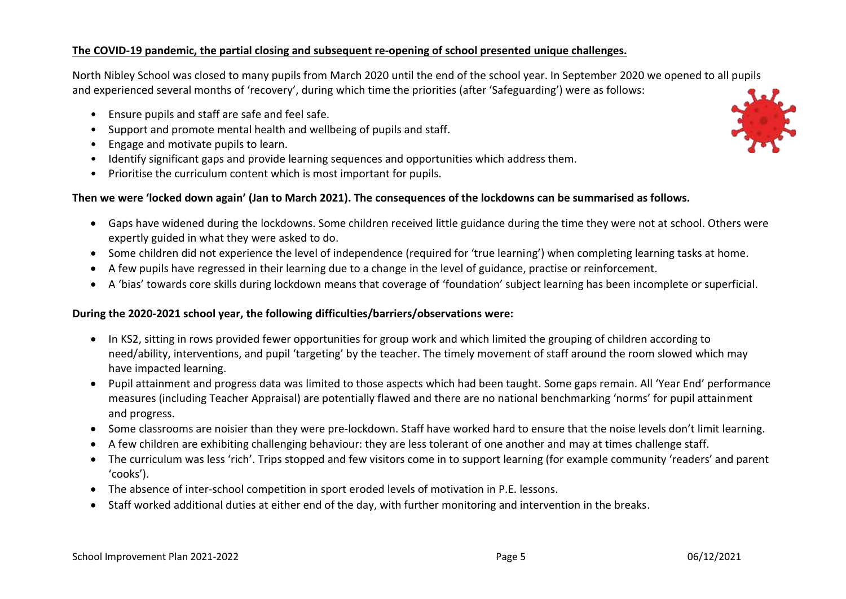#### **The COVID-19 pandemic, the partial closing and subsequent re-opening of school presented unique challenges.**

North Nibley School was closed to many pupils from March 2020 until the end of the school year. In September 2020 we opened to all pupils and experienced several months of 'recovery', during which time the priorities (after 'Safeguarding') were as follows:

- Ensure pupils and staff are safe and feel safe.
- Support and promote mental health and wellbeing of pupils and staff.
- Engage and motivate pupils to learn.
- Identify significant gaps and provide learning sequences and opportunities which address them.
- Prioritise the curriculum content which is most important for pupils.

#### **Then we were 'locked down again' (Jan to March 2021). The consequences of the lockdowns can be summarised as follows.**

- Gaps have widened during the lockdowns. Some children received little guidance during the time they were not at school. Others were expertly guided in what they were asked to do.
- Some children did not experience the level of independence (required for 'true learning') when completing learning tasks at home.
- A few pupils have regressed in their learning due to a change in the level of guidance, practise or reinforcement.
- A 'bias' towards core skills during lockdown means that coverage of 'foundation' subject learning has been incomplete or superficial.

#### **During the 2020-2021 school year, the following difficulties/barriers/observations were:**

- In KS2, sitting in rows provided fewer opportunities for group work and which limited the grouping of children according to need/ability, interventions, and pupil 'targeting' by the teacher. The timely movement of staff around the room slowed which may have impacted learning.
- Pupil attainment and progress data was limited to those aspects which had been taught. Some gaps remain. All 'Year End' performance measures (including Teacher Appraisal) are potentially flawed and there are no national benchmarking 'norms' for pupil attainment and progress.
- Some classrooms are noisier than they were pre-lockdown. Staff have worked hard to ensure that the noise levels don't limit learning.
- A few children are exhibiting challenging behaviour: they are less tolerant of one another and may at times challenge staff.
- The curriculum was less 'rich'. Trips stopped and few visitors come in to support learning (for example community 'readers' and parent 'cooks').
- The absence of inter-school competition in sport eroded levels of motivation in P.E. lessons.
- Staff worked additional duties at either end of the day, with further monitoring and intervention in the breaks.

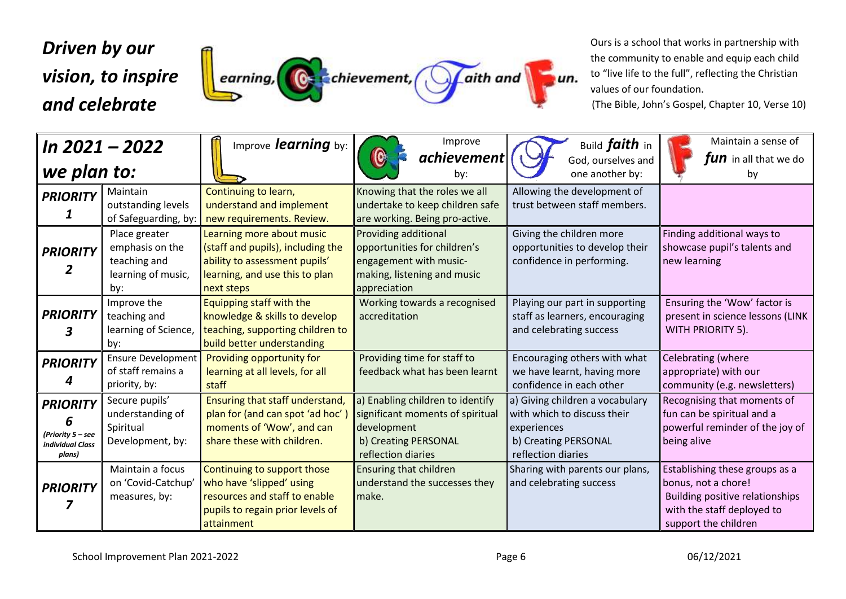## *Driven by our vision, to inspire*  earning, Carchievement, Graith and un. *and celebrate*

Ours is a school that works in partnership with the community to enable and equip each child to "live life to the full", reflecting the Christian values of our foundation.

(The Bible, John's Gospel, Chapter 10, Verse 10)

|                                                                                | In 2021 - 2022                                                                | Improve learning by:                                                                                                                            | Improve                                                                                                                           | Build <i>faith</i> in                                                                                                       | Maintain a sense of                                                                                                                                   |
|--------------------------------------------------------------------------------|-------------------------------------------------------------------------------|-------------------------------------------------------------------------------------------------------------------------------------------------|-----------------------------------------------------------------------------------------------------------------------------------|-----------------------------------------------------------------------------------------------------------------------------|-------------------------------------------------------------------------------------------------------------------------------------------------------|
| we plan to:                                                                    |                                                                               |                                                                                                                                                 | achievement<br>by:                                                                                                                | God, ourselves and<br>one another by:                                                                                       | fun in all that we do<br>by                                                                                                                           |
| <b>PRIORITY</b>                                                                | Maintain<br>outstanding levels<br>of Safeguarding, by:                        | Continuing to learn,<br>understand and implement<br>new requirements. Review.                                                                   | Knowing that the roles we all<br>undertake to keep children safe<br>are working. Being pro-active.                                | Allowing the development of<br>trust between staff members.                                                                 |                                                                                                                                                       |
| <b>PRIORITY</b>                                                                | Place greater<br>emphasis on the<br>teaching and<br>learning of music,<br>by: | Learning more about music<br>(staff and pupils), including the<br>ability to assessment pupils'<br>learning, and use this to plan<br>next steps | Providing additional<br>opportunities for children's<br>engagement with music-<br>making, listening and music<br>appreciation     | Giving the children more<br>opportunities to develop their<br>confidence in performing.                                     | Finding additional ways to<br>showcase pupil's talents and<br>new learning                                                                            |
| <b>PRIORITY</b>                                                                | Improve the<br>teaching and<br>learning of Science,<br>by:                    | Equipping staff with the<br>knowledge & skills to develop<br>teaching, supporting children to<br>build better understanding                     | Working towards a recognised<br>accreditation                                                                                     | Playing our part in supporting<br>staff as learners, encouraging<br>and celebrating success                                 | Ensuring the 'Wow' factor is<br>present in science lessons (LINK<br>WITH PRIORITY 5).                                                                 |
| <b>PRIORITY</b>                                                                | Ensure Development<br>of staff remains a<br>priority, by:                     | Providing opportunity for<br>learning at all levels, for all<br>staff                                                                           | Providing time for staff to<br>feedback what has been learnt                                                                      | Encouraging others with what<br>we have learnt, having more<br>confidence in each other                                     | Celebrating (where<br>appropriate) with our<br>community (e.g. newsletters)                                                                           |
| <b>PRIORITY</b><br>6<br>(Priority 5 - see<br><b>individual Class</b><br>plans) | Secure pupils'<br>understanding of<br>Spiritual<br>Development, by:           | Ensuring that staff understand,<br>plan for (and can spot 'ad hoc')<br>moments of 'Wow', and can<br>share these with children.                  | a) Enabling children to identify<br>significant moments of spiritual<br>development<br>b) Creating PERSONAL<br>reflection diaries | a) Giving children a vocabulary<br>with which to discuss their<br>experiences<br>b) Creating PERSONAL<br>reflection diaries | Recognising that moments of<br>fun can be spiritual and a<br>powerful reminder of the joy of<br>being alive                                           |
| <b>PRIORITY</b>                                                                | Maintain a focus<br>on 'Covid-Catchup'<br>measures, by:                       | Continuing to support those<br>who have 'slipped' using<br>resources and staff to enable<br>pupils to regain prior levels of<br>attainment      | Ensuring that children<br>understand the successes they<br>make.                                                                  | Sharing with parents our plans,<br>and celebrating success                                                                  | Establishing these groups as a<br>bonus, not a chore!<br><b>Building positive relationships</b><br>with the staff deployed to<br>support the children |